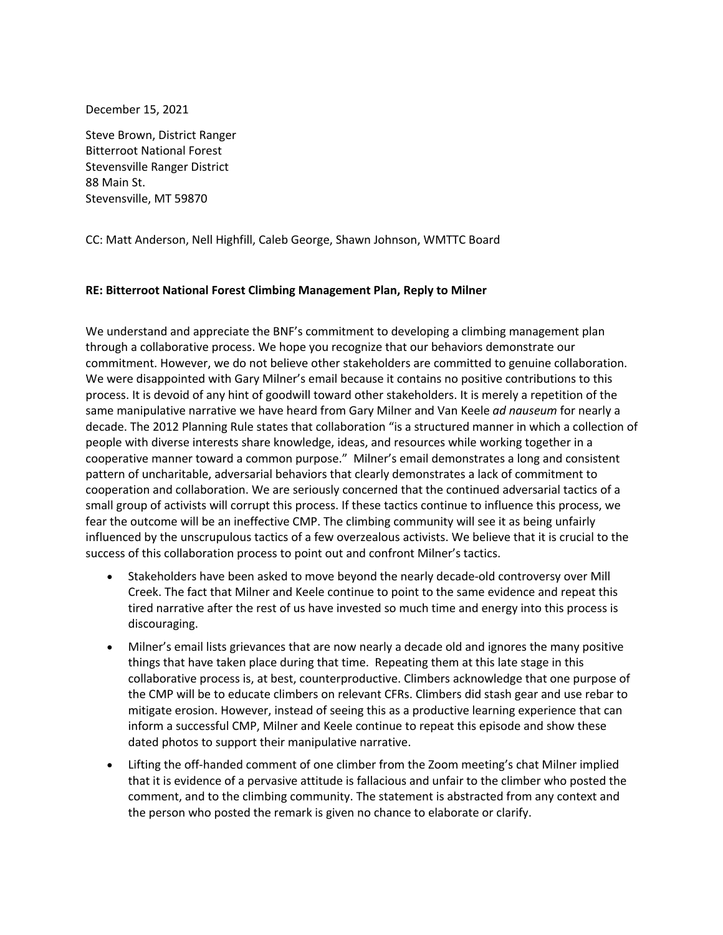December 15, 2021

Steve Brown, District Ranger Bitterroot National Forest Stevensville Ranger District 88 Main St. Stevensville, MT 59870

CC: Matt Anderson, Nell Highfill, Caleb George, Shawn Johnson, WMTTC Board

## **RE: Bitterroot National Forest Climbing Management Plan, Reply to Milner**

We understand and appreciate the BNF's commitment to developing a climbing management plan through a collaborative process. We hope you recognize that our behaviors demonstrate our commitment. However, we do not believe other stakeholders are committed to genuine collaboration. We were disappointed with Gary Milner's email because it contains no positive contributions to this process. It is devoid of any hint of goodwill toward other stakeholders. It is merely a repetition of the same manipulative narrative we have heard from Gary Milner and Van Keele *ad nauseum* for nearly a decade. The 2012 Planning Rule states that collaboration "is a structured manner in which a collection of people with diverse interests share knowledge, ideas, and resources while working together in a cooperative manner toward a common purpose." Milner's email demonstrates a long and consistent pattern of uncharitable, adversarial behaviors that clearly demonstrates a lack of commitment to cooperation and collaboration. We are seriously concerned that the continued adversarial tactics of a small group of activists will corrupt this process. If these tactics continue to influence this process, we fear the outcome will be an ineffective CMP. The climbing community will see it as being unfairly influenced by the unscrupulous tactics of a few overzealous activists. We believe that it is crucial to the success of this collaboration process to point out and confront Milner's tactics.

- Stakeholders have been asked to move beyond the nearly decade-old controversy over Mill Creek. The fact that Milner and Keele continue to point to the same evidence and repeat this tired narrative after the rest of us have invested so much time and energy into this process is discouraging.
- Milner's email lists grievances that are now nearly a decade old and ignores the many positive things that have taken place during that time. Repeating them at this late stage in this collaborative process is, at best, counterproductive. Climbers acknowledge that one purpose of the CMP will be to educate climbers on relevant CFRs. Climbers did stash gear and use rebar to mitigate erosion. However, instead of seeing this as a productive learning experience that can inform a successful CMP, Milner and Keele continue to repeat this episode and show these dated photos to support their manipulative narrative.
- Lifting the off-handed comment of one climber from the Zoom meeting's chat Milner implied that it is evidence of a pervasive attitude is fallacious and unfair to the climber who posted the comment, and to the climbing community. The statement is abstracted from any context and the person who posted the remark is given no chance to elaborate or clarify.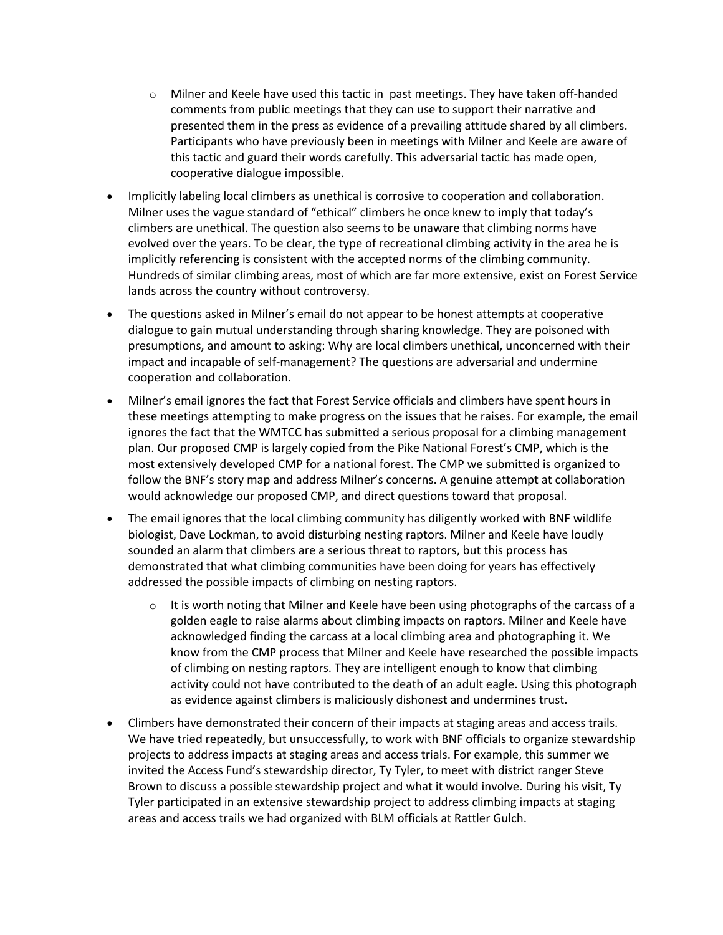- o Milner and Keele have used this tactic in past meetings. They have taken off-handed comments from public meetings that they can use to support their narrative and presented them in the press as evidence of a prevailing attitude shared by all climbers. Participants who have previously been in meetings with Milner and Keele are aware of this tactic and guard their words carefully. This adversarial tactic has made open, cooperative dialogue impossible.
- Implicitly labeling local climbers as unethical is corrosive to cooperation and collaboration. Milner uses the vague standard of "ethical" climbers he once knew to imply that today's climbers are unethical. The question also seems to be unaware that climbing norms have evolved over the years. To be clear, the type of recreational climbing activity in the area he is implicitly referencing is consistent with the accepted norms of the climbing community. Hundreds of similar climbing areas, most of which are far more extensive, exist on Forest Service lands across the country without controversy.
- The questions asked in Milner's email do not appear to be honest attempts at cooperative dialogue to gain mutual understanding through sharing knowledge. They are poisoned with presumptions, and amount to asking: Why are local climbers unethical, unconcerned with their impact and incapable of self-management? The questions are adversarial and undermine cooperation and collaboration.
- Milner's email ignores the fact that Forest Service officials and climbers have spent hours in these meetings attempting to make progress on the issues that he raises. For example, the email ignores the fact that the WMTCC has submitted a serious proposal for a climbing management plan. Our proposed CMP is largely copied from the Pike National Forest's CMP, which is the most extensively developed CMP for a national forest. The CMP we submitted is organized to follow the BNF's story map and address Milner's concerns. A genuine attempt at collaboration would acknowledge our proposed CMP, and direct questions toward that proposal.
- The email ignores that the local climbing community has diligently worked with BNF wildlife biologist, Dave Lockman, to avoid disturbing nesting raptors. Milner and Keele have loudly sounded an alarm that climbers are a serious threat to raptors, but this process has demonstrated that what climbing communities have been doing for years has effectively addressed the possible impacts of climbing on nesting raptors.
	- $\circ$  It is worth noting that Milner and Keele have been using photographs of the carcass of a golden eagle to raise alarms about climbing impacts on raptors. Milner and Keele have acknowledged finding the carcass at a local climbing area and photographing it. We know from the CMP process that Milner and Keele have researched the possible impacts of climbing on nesting raptors. They are intelligent enough to know that climbing activity could not have contributed to the death of an adult eagle. Using this photograph as evidence against climbers is maliciously dishonest and undermines trust.
- Climbers have demonstrated their concern of their impacts at staging areas and access trails. We have tried repeatedly, but unsuccessfully, to work with BNF officials to organize stewardship projects to address impacts at staging areas and access trials. For example, this summer we invited the Access Fund's stewardship director, Ty Tyler, to meet with district ranger Steve Brown to discuss a possible stewardship project and what it would involve. During his visit, Ty Tyler participated in an extensive stewardship project to address climbing impacts at staging areas and access trails we had organized with BLM officials at Rattler Gulch.